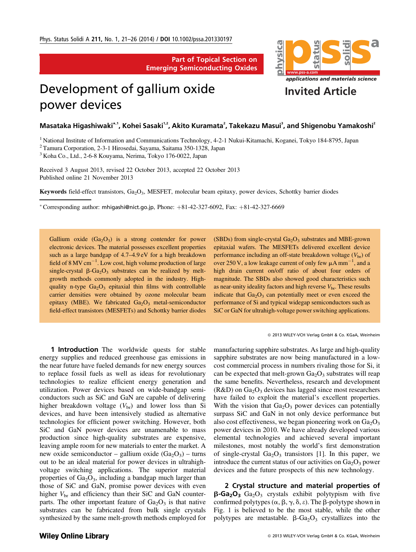Part of Topical Section on Emerging Semiconducting Oxides

## Development of gallium oxide power devices



 $M$ asataka Higashiwaki $^*$ 1, Kohei Sasaki $^{1,2}$ , Akito Kuramata $^2$ , Takekazu Masui $^3$ , and Shigenobu Yamakoshi $^2$ 

<sup>1</sup> National Institute of Information and Communications Technology, 4-2-1 Nukui-Kitamachi, Koganei, Tokyo 184-8795, Japan

<sup>2</sup> Tamura Corporation, 2-3-1 Hirosedai, Sayama, Saitama 350-1328, Japan

<sup>3</sup> Koha Co., Ltd., 2-6-8 Kouyama, Nerima, Tokyo 176-0022, Japan

Received 3 August 2013, revised 22 October 2013, accepted 22 October 2013 Published online 21 November 2013

Keywords field-effect transistors,  $Ga<sub>2</sub>O<sub>3</sub>$ , MESFET, molecular beam epitaxy, power devices, Schottky barrier diodes

\* Corresponding author: mhigashi@nict.go.jp, Phone:  $+81-42-327-6092$ , Fax:  $+81-42-327-6669$ 

Gallium oxide  $(Ga<sub>2</sub>O<sub>3</sub>)$  is a strong contender for power electronic devices. The material possesses excellent properties such as a large bandgap of 4.7–4.9 eV for a high breakdown field of  $8 \text{ MV cm}^{-1}$ . Low cost, high volume production of large single-crystal  $\beta$ -Ga<sub>2</sub>O<sub>3</sub> substrates can be realized by meltgrowth methods commonly adopted in the industry. Highquality n-type  $Ga<sub>2</sub>O<sub>3</sub>$  epitaxial thin films with controllable carrier densities were obtained by ozone molecular beam epitaxy (MBE). We fabricated  $Ga<sub>2</sub>O<sub>3</sub>$  metal-semiconductor field-effect transistors (MESFETs) and Schottky barrier diodes

**1 Introduction** The worldwide quests for stable energy supplies and reduced greenhouse gas emissions in the near future have fueled demands for new energy sources to replace fossil fuels as well as ideas for revolutionary technologies to realize efficient energy generation and utilization. Power devices based on wide-bandgap semiconductors such as SiC and GaN are capable of delivering higher breakdown voltage  $(V_{\text{br}})$  and lower loss than Si devices, and have been intensively studied as alternative technologies for efficient power switching. However, both SiC and GaN power devices are unamenable to mass production since high-quality substrates are expensive, leaving ample room for new materials to enter the market. A new oxide semiconductor – gallium oxide  $(Ga_2O_3)$  – turns out to be an ideal material for power devices in ultrahighvoltage switching applications. The superior material properties of  $Ga<sub>2</sub>O<sub>3</sub>$ , including a bandgap much larger than those of SiC and GaN, promise power devices with even higher  $V_{\rm br}$  and efficiency than their SiC and GaN counterparts. The other important feature of  $Ga<sub>2</sub>O<sub>3</sub>$  is that native substrates can be fabricated from bulk single crystals synthesized by the same melt-growth methods employed for

(SBDs) from single-crystal  $Ga_2O_3$  substrates and MBE-grown epitaxial wafers. The MESFETs delivered excellent device performance including an off-state breakdown voltage  $(V_{\text{br}})$  of over 250 V, a low leakage current of only few  $\mu$ A mm<sup>-1</sup>, and a high drain current on/off ratio of about four orders of magnitude. The SBDs also showed good characteristics such as near-unity ideality factors and high reverse  $V_{\text{br}}$ . These results indicate that  $Ga<sub>2</sub>O<sub>3</sub>$  can potentially meet or even exceed the performance of Si and typical widegap semiconductors such as SiC or GaN for ultrahigh-voltage power switching applications.

2013 WILEY-VCH Verlag GmbH & Co. KGaA, Weinheim

manufacturing sapphire substrates. As large and high-quality sapphire substrates are now being manufactured in a lowcost commercial process in numbers rivaling those for Si, it can be expected that melt-grown  $Ga<sub>2</sub>O<sub>3</sub>$  substrates will reap the same benefits. Nevertheless, research and development  $(R&D)$  on  $Ga<sub>2</sub>O<sub>3</sub>$  devices has lagged since most researchers have failed to exploit the material's excellent properties. With the vision that  $Ga<sub>2</sub>O<sub>3</sub>$  power devices can potentially surpass SiC and GaN in not only device performance but also cost effectiveness, we began pioneering work on  $Ga<sub>2</sub>O<sub>3</sub>$ power devices in 2010. We have already developed various elemental technologies and achieved several important milestones, most notably the world's first demonstration of single-crystal  $Ga_2O_3$  transistors [1]. In this paper, we introduce the current status of our activities on  $Ga_2O_3$  power devices and the future prospects of this new technology.

2 Crystal structure and material properties of  $\beta$ -Ga<sub>2</sub>O<sub>3</sub> Ga<sub>2</sub>O<sub>3</sub> crystals exhibit polytypism with five confirmed polytypes  $(\alpha, \beta, \gamma, \delta, \varepsilon)$ . The  $\beta$ -polytype shown in Fig. 1 is believed to be the most stable, while the other polytypes are metastable.  $\beta$ -Ga<sub>2</sub>O<sub>3</sub> crystallizes into the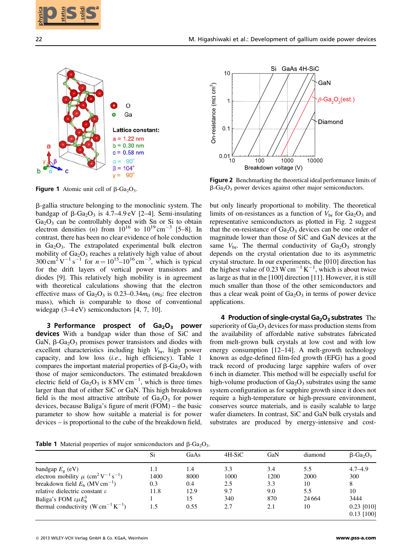



**Figure 1** Atomic unit cell of  $\beta$ -Ga<sub>2</sub>O<sub>3</sub>.



Figure 2 Benchmarking the theoretical ideal performance limits of  $\beta$ -Ga<sub>2</sub>O<sub>3</sub> power devices against other major semiconductors.

**Table 1** Material properties of major semiconductors and  $\beta$ -Ga<sub>2</sub>O<sub>3</sub>.

| 22                                                                                                                                                                                                                                                                                                                                                                                                                                                                                                                                                                                                                                                                                                                                                                                                                                                                                                                | M. Higashiwaki et al.: Development of gallium oxide power devices                                                                                                                                                                                                                                                                                                                                                                                                                                                                                                                                                                                                                                                                                                                                                                                                                                                                                                                                                                                                                                                                                                                                                                                                                                                                                                                                                                                                                                       |                                              |                                                                                                                                                                                                                                                                                                                                                                                                                                                                                                                            |                                         |                                                                                             |                                                                       |
|-------------------------------------------------------------------------------------------------------------------------------------------------------------------------------------------------------------------------------------------------------------------------------------------------------------------------------------------------------------------------------------------------------------------------------------------------------------------------------------------------------------------------------------------------------------------------------------------------------------------------------------------------------------------------------------------------------------------------------------------------------------------------------------------------------------------------------------------------------------------------------------------------------------------|---------------------------------------------------------------------------------------------------------------------------------------------------------------------------------------------------------------------------------------------------------------------------------------------------------------------------------------------------------------------------------------------------------------------------------------------------------------------------------------------------------------------------------------------------------------------------------------------------------------------------------------------------------------------------------------------------------------------------------------------------------------------------------------------------------------------------------------------------------------------------------------------------------------------------------------------------------------------------------------------------------------------------------------------------------------------------------------------------------------------------------------------------------------------------------------------------------------------------------------------------------------------------------------------------------------------------------------------------------------------------------------------------------------------------------------------------------------------------------------------------------|----------------------------------------------|----------------------------------------------------------------------------------------------------------------------------------------------------------------------------------------------------------------------------------------------------------------------------------------------------------------------------------------------------------------------------------------------------------------------------------------------------------------------------------------------------------------------------|-----------------------------------------|---------------------------------------------------------------------------------------------|-----------------------------------------------------------------------|
| $\circ$<br>Ga<br>Lattice constant:<br>$a = 1.22$ nm<br>$b = 0.30$ nm<br>a<br>$c = 0.58$ nm<br>$\alpha = 90^\circ$<br>$\beta = 104^\circ$<br>$y = 90^\circ$<br><b>Figure 1</b> Atomic unit cell of $\beta$ -Ga <sub>2</sub> O <sub>3</sub> .<br>β-gallia structure belonging to the monoclinic system. The<br>bandgap of $\beta$ -Ga <sub>2</sub> O <sub>3</sub> is 4.7–4.9 eV [2–4]. Semi-insulating<br>Ga <sub>2</sub> O <sub>3</sub> can be controllably doped with Sn or Si to obtain electron densities ( <i>n</i> ) from $10^{16}$ to $10^{19}$ cm <sup>-3</sup> [5-8]. In                                                                                                                                                                                                                                                                                                                                   |                                                                                                                                                                                                                                                                                                                                                                                                                                                                                                                                                                                                                                                                                                                                                                                                                                                                                                                                                                                                                                                                                                                                                                                                                                                                                                                                                                                                                                                                                                         |                                              | 10<br>On-resistance (mΩ cm <sup>2</sup> )<br>1<br>0.1<br>$0.01\frac{1}{10}$<br>Figure 2 Benchmarking the theoretical ideal performance limits of<br>$\beta$ -Ga <sub>2</sub> O <sub>3</sub> power devices against other major semiconductors.<br>but only linearly proportional to mobility. The theoretical<br>limits of on-resistances as a function of $V_{\text{br}}$ for $Ga_2O_3$ and<br>representative semiconductors as plotted in Fig. 2 suggest<br>that the on-resistance of $Ga2O3$ devices can be one order of | 100<br>1000<br>Breakdown voltage (V)    | Si GaAs 4H-SiC<br>GaN<br>$\beta$ -Ga <sub>2</sub> O <sub>3</sub> (est.)<br>Diamond<br>10000 |                                                                       |
| contrast, there has been no clear evidence of hole conduction<br>in $Ga2O3$ . The extrapolated experimental bulk electron<br>mobility of Ga <sub>2</sub> O <sub>3</sub> reaches a relatively high value of about 300 cm <sup>2</sup> V <sup>-1</sup> s <sup>-1</sup> for $n = 10^{15}$ -10 <sup>16</sup> cm <sup>-3</sup> , which is typical<br>for the drift layers of vertical power transistors and<br>diodes [9]. This relatively high mobility is in agreement<br>with theoretical calculations showing that the electron<br>effective mass of Ga <sub>2</sub> O <sub>3</sub> is 0.23–0.34 $m_0$ ( $m_0$ : free electron<br>mass), which is comparable to those of conventional<br>widegap $(3-4eV)$ semiconductors [4, 7, 10].                                                                                                                                                                              | magnitude lower than those of SiC and GaN devices at the<br>same $V_{\text{br}}$ . The thermal conductivity of Ga <sub>2</sub> O <sub>3</sub> strongly<br>depends on the crystal orientation due to its asymmetric<br>crystal structure. In our experiments, the [010] direction has<br>the highest value of 0.23 W cm <sup>-1</sup> K <sup>-1</sup> , which is about twice<br>as large as that in the [100] direction [11]. However, it is still<br>much smaller than those of the other semiconductors and<br>thus a clear weak point of $Ga2O3$ in terms of power device<br>applications.<br>4 Production of single-crystal Ga <sub>2</sub> O <sub>3</sub> substrates The<br>superiority of $Ga2O3$ devices for mass production stems from<br>the availability of affordable native substrates fabricated<br>from melt-grown bulk crystals at low cost and with low<br>energy consumption [12-14]. A melt-growth technology<br>known as edge-defined film-fed growth (EFG) has a good<br>track record of producing large sapphire wafers of over<br>6 inch in diameter. This method will be especially useful for<br>high-volume production of $Ga2O3$ substrates using the same<br>system configuration as for sapphire growth since it does not<br>require a high-temperature or high-pressure environment,<br>conserves source materials, and is easily scalable to large<br>wafer diameters. In contrast, SiC and GaN bulk crystals and<br>substrates are produced by energy-intensive and cost- |                                              |                                                                                                                                                                                                                                                                                                                                                                                                                                                                                                                            |                                         |                                                                                             |                                                                       |
| 3 Performance prospect of Ga <sub>2</sub> O <sub>3</sub> power<br>devices With a bandgap wider than those of SiC and<br>GaN, $\beta$ -Ga <sub>2</sub> O <sub>3</sub> promises power transistors and diodes with<br>excellent characteristics including high $V_{\text{br}}$ , high power<br>capacity, and low loss (i.e., high efficiency). Table 1<br>compares the important material properties of $\beta$ -Ga <sub>2</sub> O <sub>3</sub> with<br>those of major semiconductors. The estimated breakdown<br>electric field of $Ga_2O_3$ is 8 MV cm <sup>-1</sup> , which is three times<br>larger than that of either SiC or GaN. This high breakdown<br>field is the most attractive attribute of $Ga2O3$ for power<br>devices, because Baliga's figure of merit (FOM) – the basic<br>parameter to show how suitable a material is for power<br>devices – is proportional to the cube of the breakdown field, |                                                                                                                                                                                                                                                                                                                                                                                                                                                                                                                                                                                                                                                                                                                                                                                                                                                                                                                                                                                                                                                                                                                                                                                                                                                                                                                                                                                                                                                                                                         |                                              |                                                                                                                                                                                                                                                                                                                                                                                                                                                                                                                            |                                         |                                                                                             |                                                                       |
| <b>Table 1</b> Material properties of major semiconductors and $\beta$ -Ga <sub>2</sub> O <sub>3</sub> .                                                                                                                                                                                                                                                                                                                                                                                                                                                                                                                                                                                                                                                                                                                                                                                                          | Si                                                                                                                                                                                                                                                                                                                                                                                                                                                                                                                                                                                                                                                                                                                                                                                                                                                                                                                                                                                                                                                                                                                                                                                                                                                                                                                                                                                                                                                                                                      | GaAs                                         | 4H-SiC                                                                                                                                                                                                                                                                                                                                                                                                                                                                                                                     | GaN                                     | diamond                                                                                     | $\beta$ -Ga <sub>2</sub> O <sub>3</sub>                               |
| bandgap $E_{\rm g}$ (eV)<br>electron mobility $\mu$ (cm <sup>2</sup> V <sup>-1</sup> s <sup>-1</sup> )<br>breakdown field $E_b$ (MV cm <sup>-1</sup> )<br>relative dielectric constant ε<br>Baliga's FOM $\epsilon \mu E_b^3$<br>thermal conductivity $(W cm^{-1} K^{-1})$                                                                                                                                                                                                                                                                                                                                                                                                                                                                                                                                                                                                                                        | 1.1<br>1400<br>0.3<br>11.8<br>1<br>1.5                                                                                                                                                                                                                                                                                                                                                                                                                                                                                                                                                                                                                                                                                                                                                                                                                                                                                                                                                                                                                                                                                                                                                                                                                                                                                                                                                                                                                                                                  | $1.4\,$<br>8000<br>0.4<br>12.9<br>15<br>0.55 | 3.3<br>1000<br>2.5<br>9.7<br>340<br>2.7                                                                                                                                                                                                                                                                                                                                                                                                                                                                                    | 3.4<br>1200<br>3.3<br>9.0<br>870<br>2.1 | 5.5<br>2000<br>10<br>5.5<br>24 6 64<br>10                                                   | $4.7 - 4.9$<br>300<br>8<br>10<br>3444<br>$0.23$ [010]<br>$0.13$ [100] |
| © 2013 WILEY-VCH Verlag GmbH & Co. KGaA, Weinheim                                                                                                                                                                                                                                                                                                                                                                                                                                                                                                                                                                                                                                                                                                                                                                                                                                                                 |                                                                                                                                                                                                                                                                                                                                                                                                                                                                                                                                                                                                                                                                                                                                                                                                                                                                                                                                                                                                                                                                                                                                                                                                                                                                                                                                                                                                                                                                                                         |                                              |                                                                                                                                                                                                                                                                                                                                                                                                                                                                                                                            |                                         |                                                                                             | www.pss-a.com                                                         |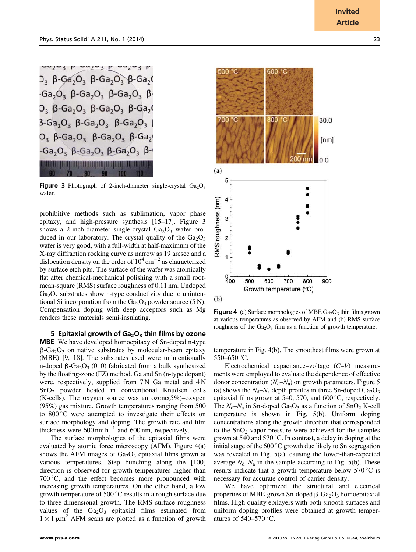$D_3$  β-Ga<sub>2</sub>O<sub>3</sub> β-Ga<sub>2</sub>O<sub>3</sub> β-Ga<sub>2</sub>(  $-Ga_2O_3$   $\beta$ -Ga<sub>2</sub>O<sub>3</sub>  $\beta$ -Ga<sub>2</sub>O<sub>3</sub>  $\beta$ - $D_3$   $\beta$ -Ga<sub>2</sub>O<sub>3</sub>  $\beta$ -Ga<sub>2</sub>O<sub>3</sub>  $\beta$ -Ga<sub>2</sub>O  $3-Ga_2O_3$   $\beta-Ga_2O_3$   $\beta-Ga_2O_3$  $O_3$   $\beta$ -Ga<sub>2</sub>O<sub>3</sub>  $\beta$ -Ga<sub>2</sub>O<sub>3</sub>  $\beta$ -Ga<sub>2</sub>  $-Ga_2O_3$   $\beta$ -Ga<sub>2</sub>O<sub>3</sub>  $\beta$ -Ga<sub>2</sub>O<sub>3</sub>  $\beta$ -<u> Hans de la propietat de la propietat de la propietat de la propietat de la propietat de la propietat de la p</u>

**Figure 3** Photograph of 2-inch-diameter single-crystal  $Ga_2O_3$ wafer.

prohibitive methods such as sublimation, vapor phase epitaxy, and high-pressure synthesis [15–17]. Figure 3 shows a 2-inch-diameter single-crystal  $Ga<sub>2</sub>O<sub>3</sub>$  wafer produced in our laboratory. The crystal quality of the  $Ga_2O_3$ wafer is very good, with a full-width at half-maximum of the X-ray diffraction rocking curve as narrow as 19 arcsec and a dislocation density on the order of  $10^4 \text{ cm}^{-2}$  as characterized by surface etch pits. The surface of the wafer was atomically flat after chemical-mechanical polishing with a small rootmean-square (RMS) surface roughness of 0.11 nm. Undoped  $Ga<sub>2</sub>O<sub>3</sub>$  substrates show n-type conductivity due to unintentional Si incorporation from the  $Ga_2O_3$  powder source (5 N). Compensation doping with deep acceptors such as Mg renders these materials semi-insulating.

5 Epitaxial growth of  $Ga<sub>2</sub>O<sub>3</sub>$  thin films by ozone MBE We have developed homoepitaxy of Sn-doped n-type  $\beta$ -Ga<sub>2</sub>O<sub>3</sub> on native substrates by molecular-beam epitaxy (MBE) [9, 18]. The substrates used were unintentionally n-doped  $\beta$ -Ga<sub>2</sub>O<sub>3</sub> (010) fabricated from a bulk synthesized by the floating-zone (FZ) method. Ga and Sn (n-type dopant) were, respectively, supplied from 7 N Ga metal and 4 N  $SnO<sub>2</sub>$  powder heated in conventional Knudsen cells (K-cells). The oxygen source was an ozone( $5\%$ )–oxygen (95%) gas mixture. Growth temperatures ranging from 500 to  $800^{\circ}$ C were attempted to investigate their effects on surface morphology and doping. The growth rate and film thickness were  $600 \text{ nm h}^{-1}$  and  $600 \text{ nm}$ , respectively.

The surface morphologies of the epitaxial films were evaluated by atomic force microscopy (AFM). Figure 4(a) shows the AFM images of  $Ga<sub>2</sub>O<sub>3</sub>$  epitaxial films grown at various temperatures. Step bunching along the [100] direction is observed for growth temperatures higher than  $700\degree C$ , and the effect becomes more pronounced with increasing growth temperatures. On the other hand, a low growth temperature of  $500\,^{\circ}\text{C}$  results in a rough surface due to three-dimensional growth. The RMS surface roughness values of the  $Ga<sub>2</sub>O<sub>3</sub>$  epitaxial films estimated from  $1 \times 1 \mu m^2$  AFM scans are plotted as a function of growth



**Figure 4** (a) Surface morphologies of MBE  $Ga<sub>2</sub>O<sub>3</sub>$  thin films grown at various temperatures as observed by AFM and (b) RMS surface roughness of the  $Ga<sub>2</sub>O<sub>3</sub>$  film as a function of growth temperature.

temperature in Fig. 4(b). The smoothest films were grown at 550–650 °C.

Electrochemical capacitance–voltage (C–V) measurements were employed to evaluate the dependence of effective donor concentration  $(N_d-N_a)$  on growth parameters. Figure 5 (a) shows the  $N_d$ – $N_a$  depth profiles in three Sn-doped Ga<sub>2</sub>O<sub>3</sub> epitaxial films grown at 540, 570, and  $600^{\circ}$ C, respectively. The  $N_d-N_a$  in Sn-doped Ga<sub>2</sub>O<sub>3</sub> as a function of SnO<sub>2</sub> K-cell temperature is shown in Fig. 5(b). Uniform doping concentrations along the growth direction that corresponded to the  $SnO<sub>2</sub>$  vapor pressure were achieved for the samples grown at 540 and 570  $\degree$ C. In contrast, a delay in doping at the initial stage of the  $600^{\circ}$ C growth due likely to Sn segregation was revealed in Fig. 5(a), causing the lower-than-expected average  $N_d-N_a$  in the sample according to Fig. 5(b). These results indicate that a growth temperature below  $570^{\circ}$ C is necessary for accurate control of carrier density.

We have optimized the structural and electrical properties of MBE-grown Sn-doped  $\beta$ -Ga<sub>2</sub>O<sub>3</sub> homoepitaxial films. High-quality epilayers with both smooth surfaces and uniform doping profiles were obtained at growth temperatures of  $540-570$  °C.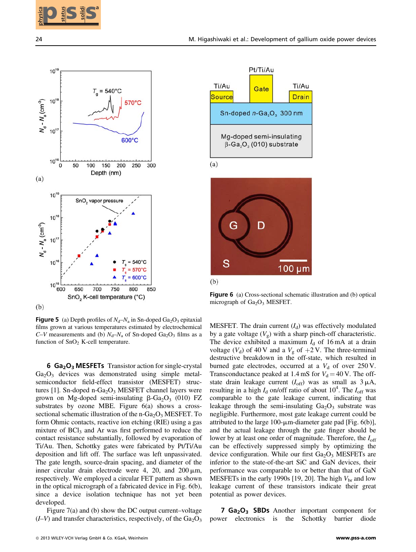



**Figure 5** (a) Depth profiles of  $N_d - N_a$  in Sn-doped Ga<sub>2</sub>O<sub>3</sub> epitaxial films grown at various temperatures estimated by electrochemical  $C-V$  measurements and (b)  $N_d-N_a$  of Sn-doped Ga<sub>2</sub>O<sub>3</sub> films as a function of  $SnO<sub>2</sub>$  K-cell temperature.

6 Ga<sub>2</sub>O<sub>3</sub> MESFETs Transistor action for single-crystal  $Ga<sub>2</sub>O<sub>3</sub>$  devices was demonstrated using simple metalsemiconductor field-effect transistor (MESFET) structures [1]. Sn-doped n-Ga<sub>2</sub>O<sub>3</sub> MESFET channel layers were grown on Mg-doped semi-insulating  $\beta$ -Ga<sub>2</sub>O<sub>3</sub> (010) FZ substrates by ozone MBE. Figure 6(a) shows a crosssectional schematic illustration of the  $n-Ga<sub>2</sub>O<sub>3</sub> MESFET.$  To form Ohmic contacts, reactive ion etching (RIE) using a gas mixture of  $BCI<sub>3</sub>$  and Ar was first performed to reduce the contact resistance substantially, followed by evaporation of Ti/Au. Then, Schottky gates were fabricated by Pt/Ti/Au deposition and lift off. The surface was left unpassivated. The gate length, source-drain spacing, and diameter of the inner circular drain electrode were 4, 20, and  $200 \mu m$ , respectively. We employed a circular FET pattern as shown in the optical micrograph of a fabricated device in Fig. 6(b), since a device isolation technique has not yet been developed.

Figure 7(a) and (b) show the DC output current–voltage  $(I-V)$  and transfer characteristics, respectively, of the  $Ga<sub>2</sub>O<sub>3</sub>$ 





Figure 6 (a) Cross-sectional schematic illustration and (b) optical micrograph of  $Ga<sub>2</sub>O<sub>3</sub>$  MESFET.

MESFET. The drain current  $(I_d)$  was effectively modulated by a gate voltage  $(V_g)$  with a sharp pinch-off characteristic. The device exhibited a maximum  $I_d$  of 16 mA at a drain voltage ( $V_d$ ) of 40 V and a  $V_g$  of  $+2$  V. The three-terminal destructive breakdown in the off-state, which resulted in burned gate electrodes, occurred at a  $V_d$  of over 250 V. Transconductance peaked at 1.4 mS for  $V_d = 40$  V. The offstate drain leakage current  $(I_{off})$  was as small as  $3 \mu A$ , resulting in a high  $I_d$  on/off ratio of about  $10^4$ . The  $I_{off}$  was comparable to the gate leakage current, indicating that leakage through the semi-insulating  $Ga_2O_3$  substrate was negligible. Furthermore, most gate leakage current could be attributed to the large 100- $\mu$ m-diameter gate pad [Fig. 6(b)], and the actual leakage through the gate finger should be lower by at least one order of magnitude. Therefore, the  $I_{\text{off}}$ can be effectively suppressed simply by optimizing the device configuration. While our first  $Ga<sub>2</sub>O<sub>3</sub>$  MESFETs are inferior to the state-of-the-art SiC and GaN devices, their performance was comparable to or better than that of GaN MESFETs in the early 1990s [19, 20]. The high  $V_{\text{br}}$  and low leakage current of these transistors indicate their great potential as power devices.

7 Ga<sub>2</sub>O<sub>3</sub> SBDs Another important component for power electronics is the Schottky barrier diode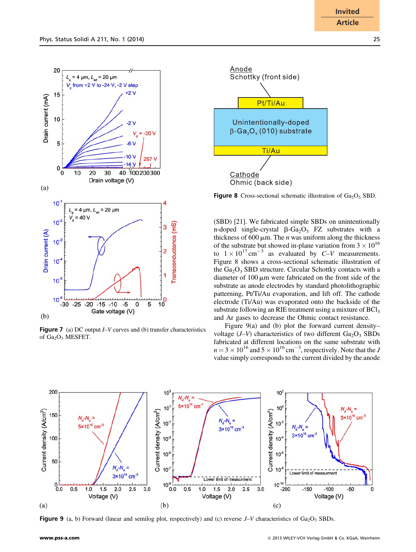

**Figure 7** (a) DC output  $I-V$  curves and (b) transfer characteristics of  $Ga_2O_3$  MESFET.



**Figure 8** Cross-sectional schematic illustration of  $Ga<sub>2</sub>O<sub>3</sub>$  SBD.

(SBD) [21]. We fabricated simple SBDs on unintentionally n-doped single-crystal  $\beta$ -Ga<sub>2</sub>O<sub>3</sub> FZ substrates with a thickness of 600  $\mu$ m. The *n* was uniform along the thickness of the substrate but showed in-plane variation from  $3 \times 10^{16}$ to  $1 \times 10^{17}$  cm<sup>-3</sup> as evaluated by C–V measurements. Figure 8 shows a cross-sectional schematic illustration of the Ga<sub>2</sub>O<sub>3</sub> SBD structure. Circular Schottky contacts with a diameter of  $100 \mu m$  were fabricated on the front side of the substrate as anode electrodes by standard photolithographic patterning, Pt/Ti/Au evaporation, and lift off. The cathode electrode (Ti/Au) was evaporated onto the backside of the substrate following an RIE treatment using a mixture of  $BCl<sub>3</sub>$ and Ar gases to decrease the Ohmic contact resistance.

Figure 9(a) and (b) plot the forward current density– voltage  $(J-V)$  characteristics of two different  $Ga_2O_3$  SBDs fabricated at different locations on the same substrate with  $n = 3 \times 10^{16}$  and  $5 \times 10^{16}$  cm<sup>-3</sup>, respectively. Note that the J value simply corresponds to the current divided by the anode



**Figure 9** (a, b) Forward (linear and semilog plot, respectively) and (c) reverse  $J-V$  characteristics of Ga<sub>2</sub>O<sub>3</sub> SBDs.